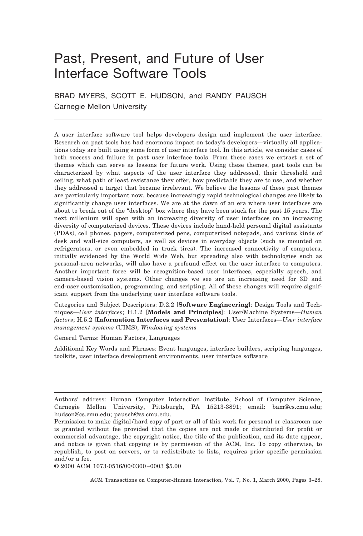# Past, Present, and Future of User Interface Software Tools

BRAD MYERS, SCOTT E. HUDSON, and RANDY PAUSCH Carnegie Mellon University

A user interface software tool helps developers design and implement the user interface. Research on past tools has had enormous impact on today's developers—virtually all applications today are built using some form of user interface tool. In this article, we consider cases of both success and failure in past user interface tools. From these cases we extract a set of themes which can serve as lessons for future work. Using these themes, past tools can be characterized by what aspects of the user interface they addressed, their threshold and ceiling, what path of least resistance they offer, how predictable they are to use, and whether they addressed a target that became irrelevant. We believe the lessons of these past themes are particularly important now, because increasingly rapid technological changes are likely to significantly change user interfaces. We are at the dawn of an era where user interfaces are about to break out of the "desktop" box where they have been stuck for the past 15 years. The next millenium will open with an increasing diversity of user interfaces on an increasing diversity of computerized devices. These devices include hand-held personal digital assistants (PDAs), cell phones, pagers, computerized pens, computerized notepads, and various kinds of desk and wall-size computers, as well as devices in everyday objects (such as mounted on refrigerators, or even embedded in truck tires). The increased connectivity of computers, initially evidenced by the World Wide Web, but spreading also with technologies such as personal-area networks, will also have a profound effect on the user interface to computers. Another important force will be recognition-based user interfaces, especially speech, and camera-based vision systems. Other changes we see are an increasing need for 3D and end-user customization, programming, and scripting. All of these changes will require significant support from the underlying user interface software tools.

Categories and Subject Descriptors: D.2.2 [**Software Engineering**]: Design Tools and Techniques—*User interfaces*; H.1.2 [**Models and Principles**]: User/Machine Systems—*Human factors*; H.5.2 [**Information Interfaces and Presentation**]: User Interfaces—*User interface management systems* (UIMS); *Windowing systems*

General Terms: Human Factors, Languages

Additional Key Words and Phrases: Event languages, interface builders, scripting languages, toolkits, user interface development environments, user interface software

© 2000 ACM 1073-0516/00/0300–0003 \$5.00

Authors' address: Human Computer Interaction Institute, School of Computer Science, Carnegie Mellon University, Pittsburgh, PA 15213-3891; email: bam@cs.cmu.edu; hudson@cs.cmu.edu; pausch@cs.cmu.edu.

Permission to make digital/hard copy of part or all of this work for personal or classroom use is granted without fee provided that the copies are not made or distributed for profit or commercial advantage, the copyright notice, the title of the publication, and its date appear, and notice is given that copying is by permission of the ACM, Inc. To copy otherwise, to republish, to post on servers, or to redistribute to lists, requires prior specific permission and/or a fee.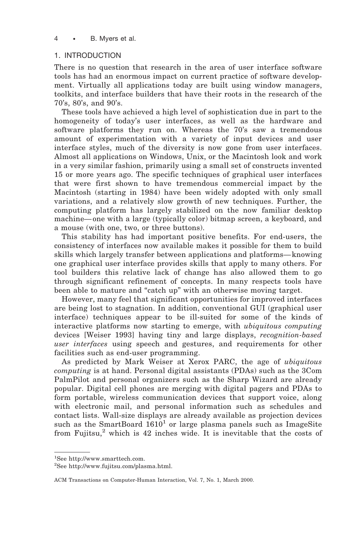#### 4 • B. Myers et al.

### 1. INTRODUCTION

There is no question that research in the area of user interface software tools has had an enormous impact on current practice of software development. Virtually all applications today are built using window managers, toolkits, and interface builders that have their roots in the research of the 70's, 80's, and 90's.

These tools have achieved a high level of sophistication due in part to the homogeneity of today's user interfaces, as well as the hardware and software platforms they run on. Whereas the 70's saw a tremendous amount of experimentation with a variety of input devices and user interface styles, much of the diversity is now gone from user interfaces. Almost all applications on Windows, Unix, or the Macintosh look and work in a very similar fashion, primarily using a small set of constructs invented 15 or more years ago. The specific techniques of graphical user interfaces that were first shown to have tremendous commercial impact by the Macintosh (starting in 1984) have been widely adopted with only small variations, and a relatively slow growth of new techniques. Further, the computing platform has largely stabilized on the now familiar desktop machine—one with a large (typically color) bitmap screen, a keyboard, and a mouse (with one, two, or three buttons).

This stability has had important positive benefits. For end-users, the consistency of interfaces now available makes it possible for them to build skills which largely transfer between applications and platforms—knowing one graphical user interface provides skills that apply to many others. For tool builders this relative lack of change has also allowed them to go through significant refinement of concepts. In many respects tools have been able to mature and "catch up" with an otherwise moving target.

However, many feel that significant opportunities for improved interfaces are being lost to stagnation. In addition, conventional GUI (graphical user interface) techniques appear to be ill-suited for some of the kinds of interactive platforms now starting to emerge, with *ubiquitous computing* devices [Weiser 1993] having tiny and large displays, *recognition-based user interfaces* using speech and gestures, and requirements for other facilities such as end-user programming.

As predicted by Mark Weiser at Xerox PARC, the age of *ubiquitous computing* is at hand. Personal digital assistants (PDAs) such as the 3Com PalmPilot and personal organizers such as the Sharp Wizard are already popular. Digital cell phones are merging with digital pagers and PDAs to form portable, wireless communication devices that support voice, along with electronic mail, and personal information such as schedules and contact lists. Wall-size displays are already available as projection devices such as the SmartBoard  $1610<sup>1</sup>$  or large plasma panels such as ImageSite from Fujitsu, $^2$  which is 42 inches wide. It is inevitable that the costs of

<sup>1</sup> See http://www.smarttech.com.

<sup>2</sup> See http://www.fujitsu.com/plasma.html.

ACM Transactions on Computer-Human Interaction, Vol. 7, No. 1, March 2000.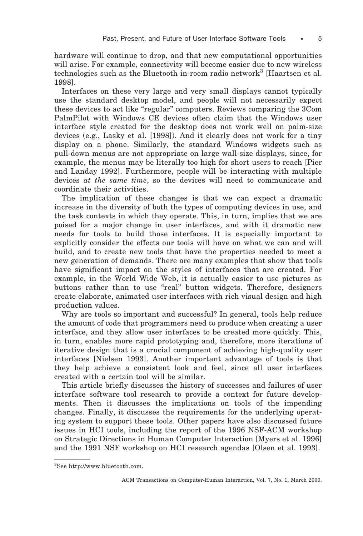hardware will continue to drop, and that new computational opportunities will arise. For example, connectivity will become easier due to new wireless technologies such as the Bluetooth in-room radio network<sup>3</sup> [Haartsen et al. 1998].

Interfaces on these very large and very small displays cannot typically use the standard desktop model, and people will not necessarily expect these devices to act like "regular" computers. Reviews comparing the 3Com PalmPilot with Windows CE devices often claim that the Windows user interface style created for the desktop does not work well on palm-size devices (e.g., Lasky et al. [1998]). And it clearly does not work for a tiny display on a phone. Similarly, the standard Windows widgets such as pull-down menus are not appropriate on large wall-size displays, since, for example, the menus may be literally too high for short users to reach [Pier and Landay 1992]. Furthermore, people will be interacting with multiple devices *at the same time*, so the devices will need to communicate and coordinate their activities.

The implication of these changes is that we can expect a dramatic increase in the diversity of both the types of computing devices in use, and the task contexts in which they operate. This, in turn, implies that we are poised for a major change in user interfaces, and with it dramatic new needs for tools to build those interfaces. It is especially important to explicitly consider the effects our tools will have on what we can and will build, and to create new tools that have the properties needed to meet a new generation of demands. There are many examples that show that tools have significant impact on the styles of interfaces that are created. For example, in the World Wide Web, it is actually easier to use pictures as buttons rather than to use "real" button widgets. Therefore, designers create elaborate, animated user interfaces with rich visual design and high production values.

Why are tools so important and successful? In general, tools help reduce the amount of code that programmers need to produce when creating a user interface, and they allow user interfaces to be created more quickly. This, in turn, enables more rapid prototyping and, therefore, more iterations of iterative design that is a crucial component of achieving high-quality user interfaces [Nielsen 1993]. Another important advantage of tools is that they help achieve a consistent look and feel, since all user interfaces created with a certain tool will be similar.

This article briefly discusses the history of successes and failures of user interface software tool research to provide a context for future developments. Then it discusses the implications on tools of the impending changes. Finally, it discusses the requirements for the underlying operating system to support these tools. Other papers have also discussed future issues in HCI tools, including the report of the 1996 NSF-ACM workshop on Strategic Directions in Human Computer Interaction [Myers et al. 1996] and the 1991 NSF workshop on HCI research agendas [Olsen et al. 1993].

<sup>3</sup> See http://www.bluetooth.com.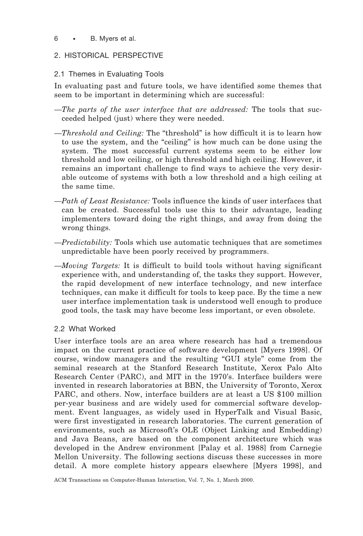## 6 • B. Myers et al.

# 2. HISTORICAL PERSPECTIVE

# 2.1 Themes in Evaluating Tools

In evaluating past and future tools, we have identified some themes that seem to be important in determining which are successful:

- —*The parts of the user interface that are addressed:* The tools that succeeded helped (just) where they were needed.
- —*Threshold and Ceiling:* The "threshold" is how difficult it is to learn how to use the system, and the "ceiling" is how much can be done using the system. The most successful current systems seem to be either low threshold and low ceiling, or high threshold and high ceiling. However, it remains an important challenge to find ways to achieve the very desirable outcome of systems with both a low threshold and a high ceiling at the same time.
- —*Path of Least Resistance:* Tools influence the kinds of user interfaces that can be created. Successful tools use this to their advantage, leading implementers toward doing the right things, and away from doing the wrong things.
- —*Predictability:* Tools which use automatic techniques that are sometimes unpredictable have been poorly received by programmers.
- —*Moving Targets:* It is difficult to build tools without having significant experience with, and understanding of, the tasks they support. However, the rapid development of new interface technology, and new interface techniques, can make it difficult for tools to keep pace. By the time a new user interface implementation task is understood well enough to produce good tools, the task may have become less important, or even obsolete.

## 2.2 What Worked

User interface tools are an area where research has had a tremendous impact on the current practice of software development [Myers 1998]. Of course, window managers and the resulting "GUI style" come from the seminal research at the Stanford Research Institute, Xerox Palo Alto Research Center (PARC), and MIT in the 1970's. Interface builders were invented in research laboratories at BBN, the University of Toronto, Xerox PARC, and others. Now, interface builders are at least a US \$100 million per-year business and are widely used for commercial software development. Event languages, as widely used in HyperTalk and Visual Basic, were first investigated in research laboratories. The current generation of environments, such as Microsoft's OLE (Object Linking and Embedding) and Java Beans, are based on the component architecture which was developed in the Andrew environment [Palay et al. 1988] from Carnegie Mellon University. The following sections discuss these successes in more detail. A more complete history appears elsewhere [Myers 1998], and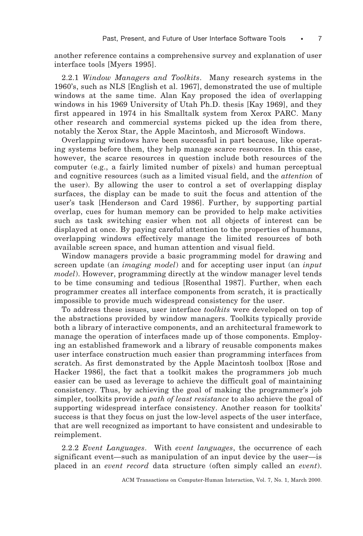another reference contains a comprehensive survey and explanation of user interface tools [Myers 1995].

2.2.1 *Window Managers and Toolkits*. Many research systems in the 1960's, such as NLS [English et al. 1967], demonstrated the use of multiple windows at the same time. Alan Kay proposed the idea of overlapping windows in his 1969 University of Utah Ph.D. thesis [Kay 1969], and they first appeared in 1974 in his Smalltalk system from Xerox PARC. Many other research and commercial systems picked up the idea from there, notably the Xerox Star, the Apple Macintosh, and Microsoft Windows.

Overlapping windows have been successful in part because, like operating systems before them, they help manage scarce resources. In this case, however, the scarce resources in question include both resources of the computer (e.g., a fairly limited number of pixels) and human perceptual and cognitive resources (such as a limited visual field, and the *attention* of the user). By allowing the user to control a set of overlapping display surfaces, the display can be made to suit the focus and attention of the user's task [Henderson and Card 1986]. Further, by supporting partial overlap, cues for human memory can be provided to help make activities such as task switching easier when not all objects of interest can be displayed at once. By paying careful attention to the properties of humans, overlapping windows effectively manage the limited resources of both available screen space, and human attention and visual field.

Window managers provide a basic programming model for drawing and screen update (an *imaging model*) and for accepting user input (an *input model*). However, programming directly at the window manager level tends to be time consuming and tedious [Rosenthal 1987]. Further, when each programmer creates all interface components from scratch, it is practically impossible to provide much widespread consistency for the user.

To address these issues, user interface *toolkits* were developed on top of the abstractions provided by window managers. Toolkits typically provide both a library of interactive components, and an architectural framework to manage the operation of interfaces made up of those components. Employing an established framework and a library of reusable components makes user interface construction much easier than programming interfaces from scratch. As first demonstrated by the Apple Macintosh toolbox [Rose and Hacker 1986], the fact that a toolkit makes the programmers job much easier can be used as leverage to achieve the difficult goal of maintaining consistency. Thus, by achieving the goal of making the programmer's job simpler, toolkits provide a *path of least resistance* to also achieve the goal of supporting widespread interface consistency. Another reason for toolkits' success is that they focus on just the low-level aspects of the user interface, that are well recognized as important to have consistent and undesirable to reimplement.

2.2.2 *Event Languages*. With *event languages*, the occurrence of each significant event—such as manipulation of an input device by the user—is placed in an *event record* data structure (often simply called an *event*).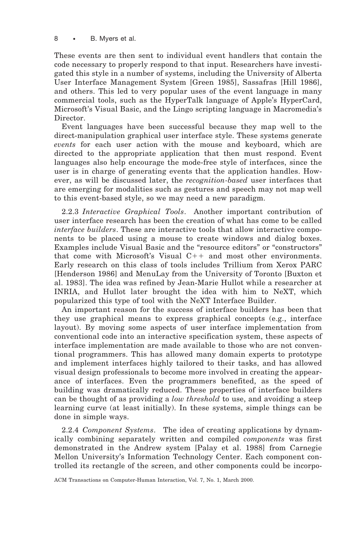These events are then sent to individual event handlers that contain the code necessary to properly respond to that input. Researchers have investigated this style in a number of systems, including the University of Alberta User Interface Management System [Green 1985], Sassafras [Hill 1986], and others. This led to very popular uses of the event language in many commercial tools, such as the HyperTalk language of Apple's HyperCard, Microsoft's Visual Basic, and the Lingo scripting language in Macromedia's Director.

Event languages have been successful because they map well to the direct-manipulation graphical user interface style. These systems generate *events* for each user action with the mouse and keyboard, which are directed to the appropriate application that then must respond. Event languages also help encourage the mode-free style of interfaces, since the user is in charge of generating events that the application handles. However, as will be discussed later, the *recognition-based* user interfaces that are emerging for modalities such as gestures and speech may not map well to this event-based style, so we may need a new paradigm.

2.2.3 *Interactive Graphical Tools*. Another important contribution of user interface research has been the creation of what has come to be called *interface builders*. These are interactive tools that allow interactive components to be placed using a mouse to create windows and dialog boxes. Examples include Visual Basic and the "resource editors" or "constructors" that come with Microsoft's Visual  $C_{++}$  and most other environments. Early research on this class of tools includes Trillium from Xerox PARC [Henderson 1986] and MenuLay from the University of Toronto [Buxton et al. 1983]. The idea was refined by Jean-Marie Hullot while a researcher at INRIA, and Hullot later brought the idea with him to NeXT, which popularized this type of tool with the NeXT Interface Builder.

An important reason for the success of interface builders has been that they use graphical means to express graphical concepts (e.g., interface layout). By moving some aspects of user interface implementation from conventional code into an interactive specification system, these aspects of interface implementation are made available to those who are not conventional programmers. This has allowed many domain experts to prototype and implement interfaces highly tailored to their tasks, and has allowed visual design professionals to become more involved in creating the appearance of interfaces. Even the programmers benefited, as the speed of building was dramatically reduced. These properties of interface builders can be thought of as providing a *low threshold* to use, and avoiding a steep learning curve (at least initially). In these systems, simple things can be done in simple ways.

2.2.4 *Component Systems*. The idea of creating applications by dynamically combining separately written and compiled *components* was first demonstrated in the Andrew system [Palay et al. 1988] from Carnegie Mellon University's Information Technology Center. Each component controlled its rectangle of the screen, and other components could be incorpo-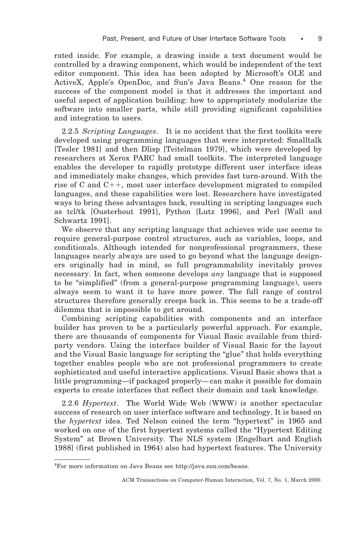rated inside. For example, a drawing inside a text document would be controlled by a drawing component, which would be independent of the text editor component. This idea has been adopted by Microsoft's OLE and ActiveX, Apple's OpenDoc, and Sun's Java Beans.<sup>4</sup> One reason for the success of the component model is that it addresses the important and useful aspect of application building: how to appropriately modularize the software into smaller parts, while still providing significant capabilities and integration to users.

2.2.5 *Scripting Languages*. It is no accident that the first toolkits were developed using programming languages that were interpreted: Smalltalk [Tesler 1981] and then Dlisp [Teitelman 1979], which were developed by researchers at Xerox PARC had small toolkits. The interpreted language enables the developer to rapidly prototype different user interface ideas and immediately make changes, which provides fast turn-around. With the rise of C and  $C_{1}$ , most user interface development migrated to compiled languages, and these capabilities were lost. Researchers have investigated ways to bring these advantages back, resulting in scripting languages such as tcl/tk [Ousterhout 1991], Python [Lutz 1996], and Perl [Wall and Schwartz 1991].

We observe that any scripting language that achieves wide use seems to require general-purpose control structures, such as variables, loops, and conditionals. Although intended for nonprofessional programmers, these languages nearly always are used to go beyond what the language designers originally had in mind, so full programmability inevitably proves necessary. In fact, when someone develops *any* language that is supposed to be "simplified" (from a general-purpose programming language), users always seem to want it to have more power. The full range of control structures therefore generally creeps back in. This seems to be a trade-off dilemma that is impossible to get around.

Combining scripting capabilities with components and an interface builder has proven to be a particularly powerful approach. For example, there are thousands of components for Visual Basic available from thirdparty vendors. Using the interface builder of Visual Basic for the layout and the Visual Basic language for scripting the "glue" that holds everything together enables people who are not professional programmers to create sophisticated and useful interactive applications. Visual Basic shows that a little programming—if packaged properly—can make it possible for domain experts to create interfaces that reflect their domain and task knowledge.

2.2.6 *Hypertext*. The World Wide Web (WWW) is another spectacular success of research on user interface software and technology. It is based on the *hypertext* idea. Ted Nelson coined the term "hypertext" in 1965 and worked on one of the first hypertext systems called the "Hypertext Editing System" at Brown University. The NLS system [Engelbart and English 1988] (first published in 1964) also had hypertext features. The University

<sup>4</sup> For more information on Java Beans see http://java.sun.com/beans.

ACM Transactions on Computer-Human Interaction, Vol. 7, No. 1, March 2000.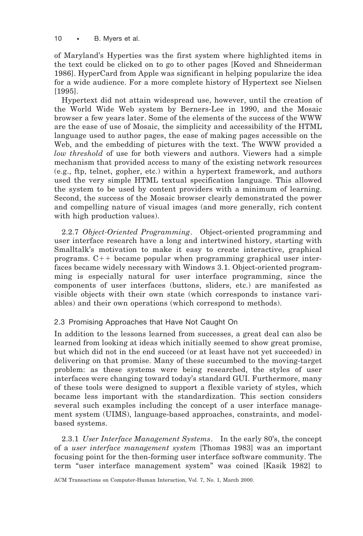10 • B. Myers et al.

of Maryland's Hyperties was the first system where highlighted items in the text could be clicked on to go to other pages [Koved and Shneiderman 1986]. HyperCard from Apple was significant in helping popularize the idea for a wide audience. For a more complete history of Hypertext see Nielsen [1995].

Hypertext did not attain widespread use, however, until the creation of the World Wide Web system by Berners-Lee in 1990, and the Mosaic browser a few years later. Some of the elements of the success of the WWW are the ease of use of Mosaic, the simplicity and accessibility of the HTML language used to author pages, the ease of making pages accessible on the Web, and the embedding of pictures with the text. The WWW provided a *low threshold* of use for both viewers and authors. Viewers had a simple mechanism that provided access to many of the existing network resources (e.g., ftp, telnet, gopher, etc.) within a hypertext framework, and authors used the very simple HTML textual specification language. This allowed the system to be used by content providers with a minimum of learning. Second, the success of the Mosaic browser clearly demonstrated the power and compelling nature of visual images (and more generally, rich content with high production values).

2.2.7 *Object-Oriented Programming*. Object-oriented programming and user interface research have a long and intertwined history, starting with Smalltalk's motivation to make it easy to create interactive, graphical programs.  $C_{+}$  became popular when programming graphical user interfaces became widely necessary with Windows 3.1. Object-oriented programming is especially natural for user interface programming, since the components of user interfaces (buttons, sliders, etc.) are manifested as visible objects with their own state (which corresponds to instance variables) and their own operations (which correspond to methods).

## 2.3 Promising Approaches that Have Not Caught On

In addition to the lessons learned from successes, a great deal can also be learned from looking at ideas which initially seemed to show great promise, but which did not in the end succeed (or at least have not yet succeeded) in delivering on that promise. Many of these succumbed to the moving-target problem: as these systems were being researched, the styles of user interfaces were changing toward today's standard GUI. Furthermore, many of these tools were designed to support a flexible variety of styles, which became less important with the standardization. This section considers several such examples including the concept of a user interface management system (UIMS), language-based approaches, constraints, and modelbased systems.

2.3.1 *User Interface Management Systems*. In the early 80's, the concept of a *user interface management system* [Thomas 1983] was an important focusing point for the then-forming user interface software community. The term "user interface management system" was coined [Kasik 1982] to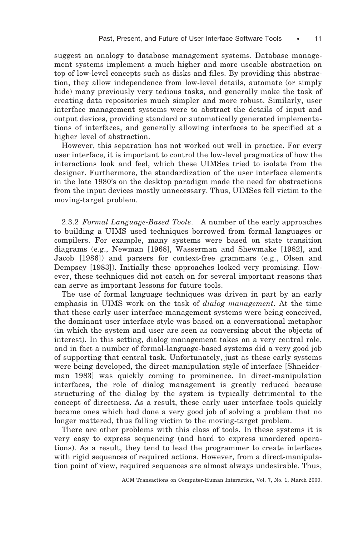suggest an analogy to database management systems. Database management systems implement a much higher and more useable abstraction on top of low-level concepts such as disks and files. By providing this abstraction, they allow independence from low-level details, automate (or simply hide) many previously very tedious tasks, and generally make the task of creating data repositories much simpler and more robust. Similarly, user interface management systems were to abstract the details of input and output devices, providing standard or automatically generated implementations of interfaces, and generally allowing interfaces to be specified at a higher level of abstraction.

However, this separation has not worked out well in practice. For every user interface, it is important to control the low-level pragmatics of how the interactions look and feel, which these UIMSes tried to isolate from the designer. Furthermore, the standardization of the user interface elements in the late 1980's on the desktop paradigm made the need for abstractions from the input devices mostly unnecessary. Thus, UIMSes fell victim to the moving-target problem.

2.3.2 *Formal Language-Based Tools*. A number of the early approaches to building a UIMS used techniques borrowed from formal languages or compilers. For example, many systems were based on state transition diagrams (e.g., Newman [1968], Wasserman and Shewmake [1982], and Jacob [1986]) and parsers for context-free grammars (e.g., Olsen and Dempsey [1983]). Initially these approaches looked very promising. However, these techniques did not catch on for several important reasons that can serve as important lessons for future tools.

The use of formal language techniques was driven in part by an early emphasis in UIMS work on the task of *dialog management*. At the time that these early user interface management systems were being conceived, the dominant user interface style was based on a conversational metaphor (in which the system and user are seen as conversing about the objects of interest). In this setting, dialog management takes on a very central role, and in fact a number of formal-language-based systems did a very good job of supporting that central task. Unfortunately, just as these early systems were being developed, the direct-manipulation style of interface [Shneiderman 1983] was quickly coming to prominence. In direct-manipulation interfaces, the role of dialog management is greatly reduced because structuring of the dialog by the system is typically detrimental to the concept of directness. As a result, these early user interface tools quickly became ones which had done a very good job of solving a problem that no longer mattered, thus falling victim to the moving-target problem.

There are other problems with this class of tools. In these systems it is very easy to express sequencing (and hard to express unordered operations). As a result, they tend to lead the programmer to create interfaces with rigid sequences of required actions. However, from a direct-manipulation point of view, required sequences are almost always undesirable. Thus,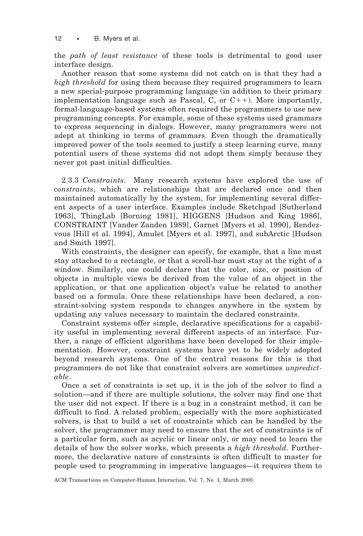the *path of least resistance* of these tools is detrimental to good user interface design.

Another reason that some systems did not catch on is that they had a *high threshold* for using them because they required programmers to learn a new special-purpose programming language (in addition to their primary implementation language such as Pascal, C, or  $C_{++}$ ). More importantly, formal-language-based systems often required the programmers to use new programming concepts. For example, some of these systems used grammars to express sequencing in dialogs. However, many programmers were not adept at thinking in terms of grammars. Even though the dramatically improved power of the tools seemed to justify a steep learning curve, many potential users of these systems did not adopt them simply because they never got past initial difficulties.

2.3.3 *Constraints*. Many research systems have explored the use of *constraints*, which are relationships that are declared once and then maintained automatically by the system, for implementing several different aspects of a user interface. Examples include Sketchpad [Sutherland 1963], ThingLab [Borning 1981], HIGGENS [Hudson and King 1986], CONSTRAINT [Vander Zanden 1989], Garnet [Myers et al. 1990], Rendezvous [Hill et al. 1994], Amulet [Myers et al. 1997], and subArctic [Hudson and Smith 1997].

With constraints, the designer can specify, for example, that a line must stay attached to a rectangle, or that a scroll-bar must stay at the right of a window. Similarly, one could declare that the color, size, or position of objects in multiple views be derived from the value of an object in the application, or that one application object's value be related to another based on a formula. Once these relationships have been declared, a constraint-solving system responds to changes anywhere in the system by updating any values necessary to maintain the declared constraints.

Constraint systems offer simple, declarative specifications for a capability useful in implementing several different aspects of an interface. Further, a range of efficient algorithms have been developed for their implementation. However, constraint systems have yet to be widely adopted beyond research systems. One of the central reasons for this is that programmers do not like that constraint solvers are sometimes *unpredictable*.

Once a set of constraints is set up, it is the job of the solver to find a solution—and if there are multiple solutions, the solver may find one that the user did not expect. If there is a bug in a constraint method, it can be difficult to find. A related problem, especially with the more sophisticated solvers, is that to build a set of constraints which can be handled by the solver, the programmer may need to ensure that the set of constraints is of a particular form, such as acyclic or linear only, or may need to learn the details of how the solver works, which presents a *high threshold*. Furthermore, the declarative nature of constraints is often difficult to master for people used to programming in imperative languages—it requires them to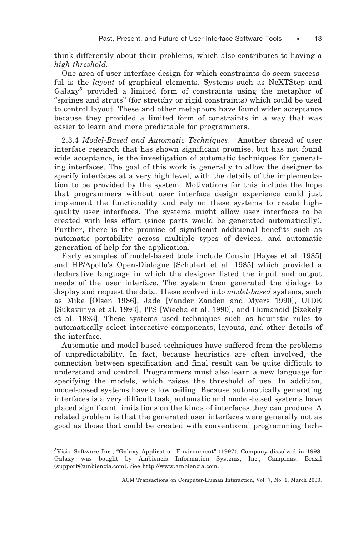think differently about their problems, which also contributes to having a *high threshold.*

One area of user interface design for which constraints do seem successful is the *layout* of graphical elements. Systems such as NeXTStep and Galaxy<sup>5</sup> provided a limited form of constraints using the metaphor of "springs and struts" (for stretchy or rigid constraints) which could be used to control layout. These and other metaphors have found wider acceptance because they provided a limited form of constraints in a way that was easier to learn and more predictable for programmers.

2.3.4 *Model-Based and Automatic Techniques*. Another thread of user interface research that has shown significant promise, but has not found wide acceptance, is the investigation of automatic techniques for generating interfaces. The goal of this work is generally to allow the designer to specify interfaces at a very high level, with the details of the implementation to be provided by the system. Motivations for this include the hope that programmers without user interface design experience could just implement the functionality and rely on these systems to create highquality user interfaces. The systems might allow user interfaces to be created with less effort (since parts would be generated automatically). Further, there is the promise of significant additional benefits such as automatic portability across multiple types of devices, and automatic generation of help for the application.

Early examples of model-based tools include Cousin [Hayes et al. 1985] and HP/Apollo's Open-Dialogue [Schulert et al. 1985] which provided a declarative language in which the designer listed the input and output needs of the user interface. The system then generated the dialogs to display and request the data. These evolved into *model-based* systems, such as Mike [Olsen 1986], Jade [Vander Zanden and Myers 1990], UIDE [Sukaviriya et al. 1993], ITS [Wiecha et al. 1990], and Humanoid [Szekely et al. 1993]. These systems used techniques such as heuristic rules to automatically select interactive components, layouts, and other details of the interface.

Automatic and model-based techniques have suffered from the problems of unpredictability. In fact, because heuristics are often involved, the connection between specification and final result can be quite difficult to understand and control. Programmers must also learn a new language for specifying the models, which raises the threshold of use. In addition, model-based systems have a low ceiling. Because automatically generating interfaces is a very difficult task, automatic and model-based systems have placed significant limitations on the kinds of interfaces they can produce. A related problem is that the generated user interfaces were generally not as good as those that could be created with conventional programming tech-

<sup>5</sup> Visix Software Inc., "Galaxy Application Environment" (1997). Company dissolved in 1998. Galaxy was bought by Ambiencia Information Systems, Inc., Campinas, Brazil (support@ambiencia.com). See http://www.ambiencia.com.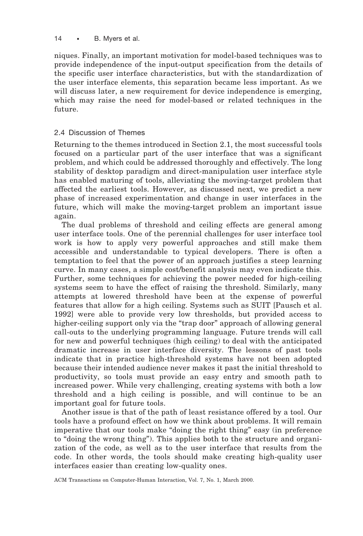niques. Finally, an important motivation for model-based techniques was to provide independence of the input-output specification from the details of the specific user interface characteristics, but with the standardization of the user interface elements, this separation became less important. As we will discuss later, a new requirement for device independence is emerging, which may raise the need for model-based or related techniques in the future.

## 2.4 Discussion of Themes

Returning to the themes introduced in Section 2.1, the most successful tools focused on a particular part of the user interface that was a significant problem, and which could be addressed thoroughly and effectively. The long stability of desktop paradigm and direct-manipulation user interface style has enabled maturing of tools, alleviating the moving-target problem that affected the earliest tools. However, as discussed next, we predict a new phase of increased experimentation and change in user interfaces in the future, which will make the moving-target problem an important issue again.

The dual problems of threshold and ceiling effects are general among user interface tools. One of the perennial challenges for user interface tool work is how to apply very powerful approaches and still make them accessible and understandable to typical developers. There is often a temptation to feel that the power of an approach justifies a steep learning curve. In many cases, a simple cost/benefit analysis may even indicate this. Further, some techniques for achieving the power needed for high-ceiling systems seem to have the effect of raising the threshold. Similarly, many attempts at lowered threshold have been at the expense of powerful features that allow for a high ceiling. Systems such as SUIT [Pausch et al. 1992] were able to provide very low thresholds, but provided access to higher-ceiling support only via the "trap door" approach of allowing general call-outs to the underlying programming language. Future trends will call for new and powerful techniques (high ceiling) to deal with the anticipated dramatic increase in user interface diversity. The lessons of past tools indicate that in practice high-threshold systems have not been adopted because their intended audience never makes it past the initial threshold to productivity, so tools must provide an easy entry and smooth path to increased power. While very challenging, creating systems with both a low threshold and a high ceiling is possible, and will continue to be an important goal for future tools.

Another issue is that of the path of least resistance offered by a tool. Our tools have a profound effect on how we think about problems. It will remain imperative that our tools make "doing the right thing" easy (in preference to "doing the wrong thing"). This applies both to the structure and organization of the code, as well as to the user interface that results from the code. In other words, the tools should make creating high-quality user interfaces easier than creating low-quality ones.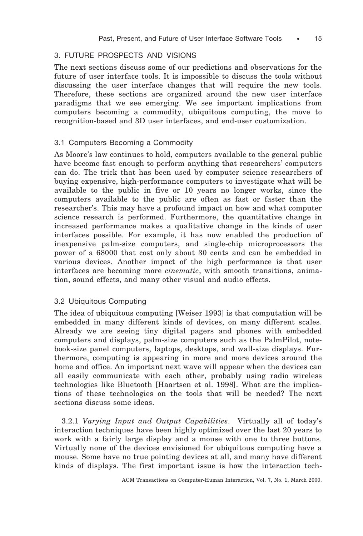### 3. FUTURE PROSPECTS AND VISIONS

The next sections discuss some of our predictions and observations for the future of user interface tools. It is impossible to discuss the tools without discussing the user interface changes that will require the new tools. Therefore, these sections are organized around the new user interface paradigms that we see emerging. We see important implications from computers becoming a commodity, ubiquitous computing, the move to recognition-based and 3D user interfaces, and end-user customization.

#### 3.1 Computers Becoming a Commodity

As Moore's law continues to hold, computers available to the general public have become fast enough to perform anything that researchers' computers can do. The trick that has been used by computer science researchers of buying expensive, high-performance computers to investigate what will be available to the public in five or 10 years no longer works, since the computers available to the public are often as fast or faster than the researcher's. This may have a profound impact on how and what computer science research is performed. Furthermore, the quantitative change in increased performance makes a qualitative change in the kinds of user interfaces possible. For example, it has now enabled the production of inexpensive palm-size computers, and single-chip microprocessors the power of a 68000 that cost only about 30 cents and can be embedded in various devices. Another impact of the high performance is that user interfaces are becoming more *cinematic*, with smooth transitions, animation, sound effects, and many other visual and audio effects.

#### 3.2 Ubiquitous Computing

The idea of ubiquitous computing [Weiser 1993] is that computation will be embedded in many different kinds of devices, on many different scales. Already we are seeing tiny digital pagers and phones with embedded computers and displays, palm-size computers such as the PalmPilot, notebook-size panel computers, laptops, desktops, and wall-size displays. Furthermore, computing is appearing in more and more devices around the home and office. An important next wave will appear when the devices can all easily communicate with each other, probably using radio wireless technologies like Bluetooth [Haartsen et al. 1998]. What are the implications of these technologies on the tools that will be needed? The next sections discuss some ideas.

3.2.1 *Varying Input and Output Capabilities*. Virtually all of today's interaction techniques have been highly optimized over the last 20 years to work with a fairly large display and a mouse with one to three buttons. Virtually none of the devices envisioned for ubiquitous computing have a mouse. Some have no true pointing devices at all, and many have different kinds of displays. The first important issue is how the interaction tech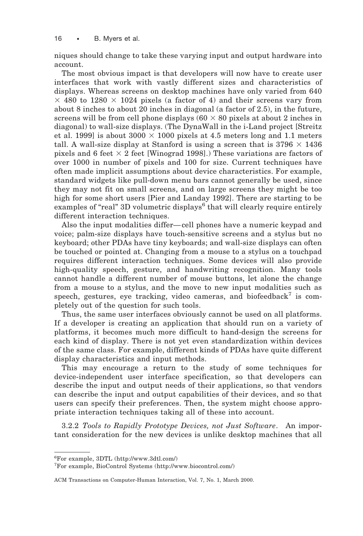niques should change to take these varying input and output hardware into account.

The most obvious impact is that developers will now have to create user interfaces that work with vastly different sizes and characteristics of displays. Whereas screens on desktop machines have only varied from 640  $\times$  480 to 1280  $\times$  1024 pixels (a factor of 4) and their screens vary from about 8 inches to about 20 inches in diagonal (a factor of 2.5), in the future, screens will be from cell phone displays  $(60 \times 80)$  pixels at about 2 inches in diagonal) to wall-size displays. (The DynaWall in the i-Land project [Streitz et al. 1999] is about  $3000 \times 1000$  pixels at 4.5 meters long and 1.1 meters tall. A wall-size display at Stanford is using a screen that is  $3796 \times 1436$ pixels and 6 feet  $\times$  2 feet [Winograd 1998].) These variations are factors of over 1000 in number of pixels and 100 for size. Current techniques have often made implicit assumptions about device characteristics. For example, standard widgets like pull-down menu bars cannot generally be used, since they may not fit on small screens, and on large screens they might be too high for some short users [Pier and Landay 1992]. There are starting to be examples of "real" 3D volumetric displays<sup>6</sup> that will clearly require entirely different interaction techniques.

Also the input modalities differ—cell phones have a numeric keypad and voice; palm-size displays have touch-sensitive screens and a stylus but no keyboard; other PDAs have tiny keyboards; and wall-size displays can often be touched or pointed at. Changing from a mouse to a stylus on a touchpad requires different interaction techniques. Some devices will also provide high-quality speech, gesture, and handwriting recognition. Many tools cannot handle a different number of mouse buttons, let alone the change from a mouse to a stylus, and the move to new input modalities such as speech, gestures, eye tracking, video cameras, and biofeedback<sup>7</sup> is completely out of the question for such tools.

Thus, the same user interfaces obviously cannot be used on all platforms. If a developer is creating an application that should run on a variety of platforms, it becomes much more difficult to hand-design the screens for each kind of display. There is not yet even standardization within devices of the same class. For example, different kinds of PDAs have quite different display characteristics and input methods.

This may encourage a return to the study of some techniques for device-independent user interface specification, so that developers can describe the input and output needs of their applications, so that vendors can describe the input and output capabilities of their devices, and so that users can specify their preferences. Then, the system might choose appropriate interaction techniques taking all of these into account.

3.2.2 *Tools to Rapidly Prototype Devices, not Just Software*. An important consideration for the new devices is unlike desktop machines that all

<sup>6</sup> For example, 3DTL (http://www.3dtl.com/)

<sup>7</sup> For example, BioControl Systems (http://www.biocontrol.com/)

ACM Transactions on Computer-Human Interaction, Vol. 7, No. 1, March 2000.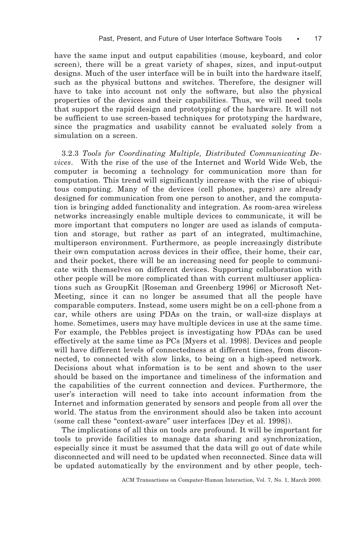have the same input and output capabilities (mouse, keyboard, and color screen), there will be a great variety of shapes, sizes, and input-output designs. Much of the user interface will be in built into the hardware itself, such as the physical buttons and switches. Therefore, the designer will have to take into account not only the software, but also the physical properties of the devices and their capabilities. Thus, we will need tools that support the rapid design and prototyping of the hardware. It will not be sufficient to use screen-based techniques for prototyping the hardware, since the pragmatics and usability cannot be evaluated solely from a simulation on a screen.

3.2.3 *Tools for Coordinating Multiple, Distributed Communicating Devices*. With the rise of the use of the Internet and World Wide Web, the computer is becoming a technology for communication more than for computation. This trend will significantly increase with the rise of ubiquitous computing. Many of the devices (cell phones, pagers) are already designed for communication from one person to another, and the computation is bringing added functionality and integration. As room-area wireless networks increasingly enable multiple devices to communicate, it will be more important that computers no longer are used as islands of computation and storage, but rather as part of an integrated, multimachine, multiperson environment. Furthermore, as people increasingly distribute their own computation across devices in their office, their home, their car, and their pocket, there will be an increasing need for people to communicate with themselves on different devices. Supporting collaboration with other people will be more complicated than with current multiuser applications such as GroupKit [Roseman and Greenberg 1996] or Microsoft Net-Meeting, since it can no longer be assumed that all the people have comparable computers. Instead, some users might be on a cell-phone from a car, while others are using PDAs on the train, or wall-size displays at home. Sometimes, users may have multiple devices in use at the same time. For example, the Pebbles project is investigating how PDAs can be used effectively at the same time as PCs [Myers et al. 1998]. Devices and people will have different levels of connectedness at different times, from disconnected, to connected with slow links, to being on a high-speed network. Decisions about what information is to be sent and shown to the user should be based on the importance and timeliness of the information and the capabilities of the current connection and devices. Furthermore, the user's interaction will need to take into account information from the Internet and information generated by sensors and people from all over the world. The status from the environment should also be taken into account (some call these "context-aware" user interfaces [Dey et al. 1998]).

The implications of all this on tools are profound. It will be important for tools to provide facilities to manage data sharing and synchronization, especially since it must be assumed that the data will go out of date while disconnected and will need to be updated when reconnected. Since data will be updated automatically by the environment and by other people, tech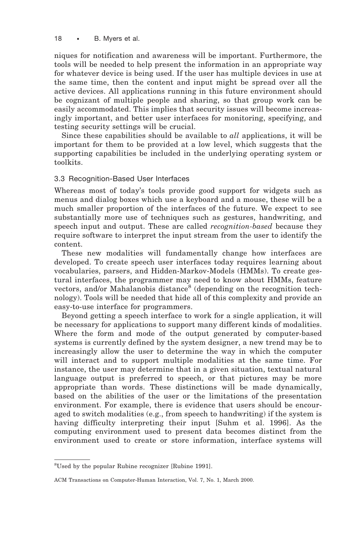18 • B. Myers et al.

niques for notification and awareness will be important. Furthermore, the tools will be needed to help present the information in an appropriate way for whatever device is being used. If the user has multiple devices in use at the same time, then the content and input might be spread over all the active devices. All applications running in this future environment should be cognizant of multiple people and sharing, so that group work can be easily accommodated. This implies that security issues will become increasingly important, and better user interfaces for monitoring, specifying, and testing security settings will be crucial.

Since these capabilities should be available to *all* applications, it will be important for them to be provided at a low level, which suggests that the supporting capabilities be included in the underlying operating system or toolkits.

### 3.3 Recognition-Based User Interfaces

Whereas most of today's tools provide good support for widgets such as menus and dialog boxes which use a keyboard and a mouse, these will be a much smaller proportion of the interfaces of the future. We expect to see substantially more use of techniques such as gestures, handwriting, and speech input and output. These are called *recognition-based* because they require software to interpret the input stream from the user to identify the content.

These new modalities will fundamentally change how interfaces are developed. To create speech user interfaces today requires learning about vocabularies, parsers, and Hidden-Markov-Models (HMMs). To create gestural interfaces, the programmer may need to know about HMMs, feature vectors, and/or Mahalanobis distance<sup>8</sup> (depending on the recognition technology). Tools will be needed that hide all of this complexity and provide an easy-to-use interface for programmers.

Beyond getting a speech interface to work for a single application, it will be necessary for applications to support many different kinds of modalities. Where the form and mode of the output generated by computer-based systems is currently defined by the system designer, a new trend may be to increasingly allow the user to determine the way in which the computer will interact and to support multiple modalities at the same time. For instance, the user may determine that in a given situation, textual natural language output is preferred to speech, or that pictures may be more appropriate than words. These distinctions will be made dynamically, based on the abilities of the user or the limitations of the presentation environment. For example, there is evidence that users should be encouraged to switch modalities (e.g., from speech to handwriting) if the system is having difficulty interpreting their input [Suhm et al. 1996]. As the computing environment used to present data becomes distinct from the environment used to create or store information, interface systems will

<sup>8</sup> Used by the popular Rubine recognizer [Rubine 1991].

ACM Transactions on Computer-Human Interaction, Vol. 7, No. 1, March 2000.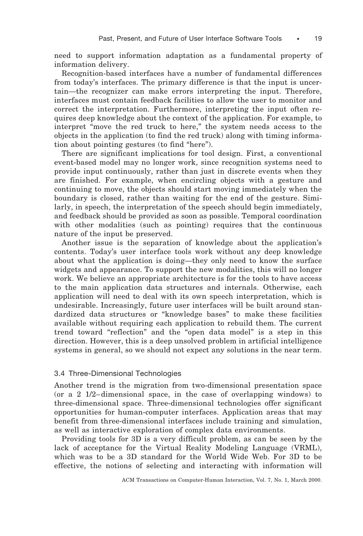need to support information adaptation as a fundamental property of information delivery.

Recognition-based interfaces have a number of fundamental differences from today's interfaces. The primary difference is that the input is uncertain—the recognizer can make errors interpreting the input. Therefore, interfaces must contain feedback facilities to allow the user to monitor and correct the interpretation. Furthermore, interpreting the input often requires deep knowledge about the context of the application. For example, to interpret "move the red truck to here," the system needs access to the objects in the application (to find the red truck) along with timing information about pointing gestures (to find "here").

There are significant implications for tool design. First, a conventional event-based model may no longer work, since recognition systems need to provide input continuously, rather than just in discrete events when they are finished. For example, when encircling objects with a gesture and continuing to move, the objects should start moving immediately when the boundary is closed, rather than waiting for the end of the gesture. Similarly, in speech, the interpretation of the speech should begin immediately, and feedback should be provided as soon as possible. Temporal coordination with other modalities (such as pointing) requires that the continuous nature of the input be preserved.

Another issue is the separation of knowledge about the application's contents. Today's user interface tools work without any deep knowledge about what the application is doing—they only need to know the surface widgets and appearance. To support the new modalities, this will no longer work. We believe an appropriate architecture is for the tools to have access to the main application data structures and internals. Otherwise, each application will need to deal with its own speech interpretation, which is undesirable. Increasingly, future user interfaces will be built around standardized data structures or "knowledge bases" to make these facilities available without requiring each application to rebuild them. The current trend toward "reflection" and the "open data model" is a step in this direction. However, this is a deep unsolved problem in artificial intelligence systems in general, so we should not expect any solutions in the near term.

#### 3.4 Three-Dimensional Technologies

Another trend is the migration from two-dimensional presentation space (or a 2 1/2–dimensional space, in the case of overlapping windows) to three-dimensional space. Three-dimensional technologies offer significant opportunities for human-computer interfaces. Application areas that may benefit from three-dimensional interfaces include training and simulation, as well as interactive exploration of complex data environments.

Providing tools for 3D is a very difficult problem, as can be seen by the lack of acceptance for the Virtual Reality Modeling Language (VRML), which was to be a 3D standard for the World Wide Web. For 3D to be effective, the notions of selecting and interacting with information will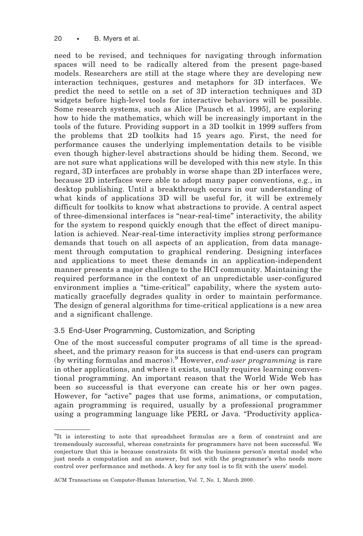need to be revised, and techniques for navigating through information spaces will need to be radically altered from the present page-based models. Researchers are still at the stage where they are developing new interaction techniques, gestures and metaphors for 3D interfaces. We predict the need to settle on a set of 3D interaction techniques and 3D widgets before high-level tools for interactive behaviors will be possible. Some research systems, such as Alice [Pausch et al. 1995], are exploring how to hide the mathematics, which will be increasingly important in the tools of the future. Providing support in a 3D toolkit in 1999 suffers from the problems that 2D toolkits had 15 years ago. First, the need for performance causes the underlying implementation details to be visible even though higher-level abstractions should be hiding them. Second, we are not sure what applications will be developed with this new style. In this regard, 3D interfaces are probably in worse shape than 2D interfaces were, because 2D interfaces were able to adopt many paper conventions, e.g., in desktop publishing. Until a breakthrough occurs in our understanding of what kinds of applications 3D will be useful for, it will be extremely difficult for toolkits to know what abstractions to provide. A central aspect of three-dimensional interfaces is "near-real-time" interactivity, the ability for the system to respond quickly enough that the effect of direct manipulation is achieved. Near-real-time interactivity implies strong performance demands that touch on all aspects of an application, from data management through computation to graphical rendering. Designing interfaces and applications to meet these demands in an application-independent manner presents a major challenge to the HCI community. Maintaining the required performance in the context of an unpredictable user-configured environment implies a "time-critical" capability, where the system automatically gracefully degrades quality in order to maintain performance. The design of general algorithms for time-critical applications is a new area and a significant challenge.

## 3.5 End-User Programming, Customization, and Scripting

One of the most successful computer programs of all time is the spreadsheet, and the primary reason for its success is that end-users can program (by writing formulas and macros).<sup>9</sup> However, *end-user programming* is rare in other applications, and where it exists, usually requires learning conventional programming. An important reason that the World Wide Web has been so successful is that everyone can create his or her own pages. However, for "active" pages that use forms, animations, or computation, again programming is required, usually by a professional programmer using a programming language like PERL or Java. "Productivity applica-

<sup>9</sup> It is interesting to note that spreadsheet formulas are a form of constraint and are tremendously successful, whereas constraints for programmers have not been successful. We conjecture that this is because constraints fit with the business person's mental model who just needs a computation and an answer, but not with the programmer's who needs more control over performance and methods. A key for any tool is to fit with the users' model.

ACM Transactions on Computer-Human Interaction, Vol. 7, No. 1, March 2000.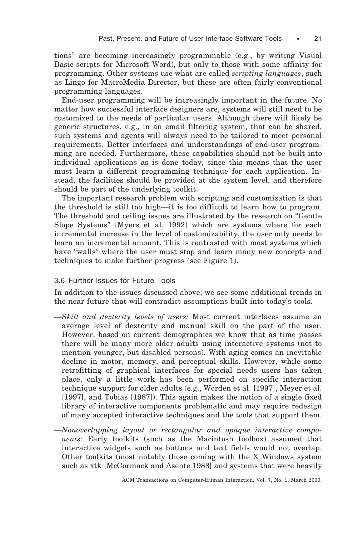tions" are becoming increasingly programmable (e.g., by writing Visual Basic scripts for Microsoft Word), but only to those with some affinity for programming. Other systems use what are called *scripting languages*, such as Lingo for MacroMedia Director, but these are often fairly conventional programming languages.

End-user programming will be increasingly important in the future. No matter how successful interface designers are, systems will still need to be customized to the needs of particular users. Although there will likely be generic structures, e.g., in an email filtering system, that can be shared, such systems and agents will always need to be tailored to meet personal requirements. Better interfaces and understandings of end-user programming are needed. Furthermore, these capabilities should not be built into individual applications as is done today, since this means that the user must learn a different programming technique for each application. Instead, the facilities should be provided at the system level, and therefore should be part of the underlying toolkit.

The important research problem with scripting and customization is that the threshold is still too high—it is too difficult to learn how to program. The threshold and ceiling issues are illustrated by the research on "Gentle Slope Systems" [Myers et al. 1992] which are systems where for each incremental increase in the level of customizability, the user only needs to learn an incremental amount. This is contrasted with most systems which have "walls" where the user must stop and learn many new concepts and techniques to make further progress (see Figure 1).

### 3.6 Further Issues for Future Tools

In addition to the issues discussed above, we see some additional trends in the near future that will contradict assumptions built into today's tools.

- —*Skill and dexterity levels of users:* Most current interfaces assume an average level of dexterity and manual skill on the part of the user. However, based on current demographics we know that as time passes there will be many more older adults using interactive systems (not to mention younger, but disabled persons). With aging comes an inevitable decline in motor, memory, and perceptual skills. However, while some retrofitting of graphical interfaces for special needs users has taken place, only a little work has been performed on specific interaction technique support for older adults (e.g., Worden et al. [1997], Meyer et al. [1997], and Tobias [1987]). This again makes the notion of a single fixed library of interactive components problematic and may require redesign of many accepted interactive techniques and the tools that support them.
- —*Nonoverlapping layout or rectangular and opaque interactive components:* Early toolkits (such as the Macintosh toolbox) assumed that interactive widgets such as buttons and text fields would not overlap. Other toolkits (most notably those coming with the X Windows system such as xtk [McCormack and Asente 1988] and systems that were heavily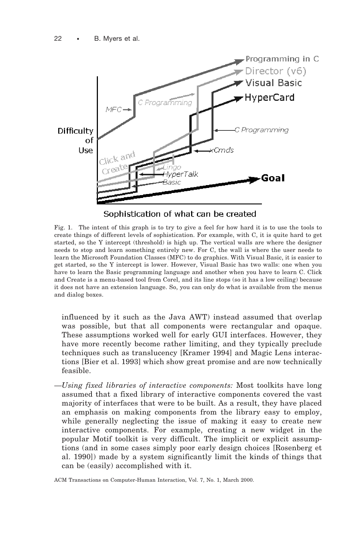

Sophistication of what can be created

Fig. 1. The intent of this graph is to try to give a feel for how hard it is to use the tools to create things of different levels of sophistication. For example, with C, it is quite hard to get started, so the Y intercept (threshold) is high up. The vertical walls are where the designer needs to stop and learn something entirely new. For C, the wall is where the user needs to learn the Microsoft Foundation Classes (MFC) to do graphics. With Visual Basic, it is easier to get started, so the Y intercept is lower. However, Visual Basic has two walls: one when you have to learn the Basic programming language and another when you have to learn C. Click and Create is a menu-based tool from Corel, and its line stops (so it has a low ceiling) because it does not have an extension language. So, you can only do what is available from the menus and dialog boxes.

influenced by it such as the Java AWT) instead assumed that overlap was possible, but that all components were rectangular and opaque. These assumptions worked well for early GUI interfaces. However, they have more recently become rather limiting, and they typically preclude techniques such as translucency [Kramer 1994] and Magic Lens interactions [Bier et al. 1993] which show great promise and are now technically feasible.

—*Using fixed libraries of interactive components:* Most toolkits have long assumed that a fixed library of interactive components covered the vast majority of interfaces that were to be built. As a result, they have placed an emphasis on making components from the library easy to employ, while generally neglecting the issue of making it easy to create new interactive components. For example, creating a new widget in the popular Motif toolkit is very difficult. The implicit or explicit assumptions (and in some cases simply poor early design choices [Rosenberg et al. 1990]) made by a system significantly limit the kinds of things that can be (easily) accomplished with it.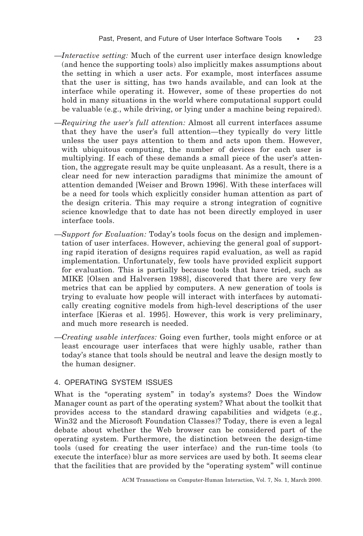- —*Interactive setting:* Much of the current user interface design knowledge (and hence the supporting tools) also implicitly makes assumptions about the setting in which a user acts. For example, most interfaces assume that the user is sitting, has two hands available, and can look at the interface while operating it. However, some of these properties do not hold in many situations in the world where computational support could be valuable (e.g., while driving, or lying under a machine being repaired).
- —*Requiring the user's full attention:* Almost all current interfaces assume that they have the user's full attention—they typically do very little unless the user pays attention to them and acts upon them. However, with ubiquitous computing, the number of devices for each user is multiplying. If each of these demands a small piece of the user's attention, the aggregate result may be quite unpleasant. As a result, there is a clear need for new interaction paradigms that minimize the amount of attention demanded [Weiser and Brown 1996]. With these interfaces will be a need for tools which explicitly consider human attention as part of the design criteria. This may require a strong integration of cognitive science knowledge that to date has not been directly employed in user interface tools.
- —*Support for Evaluation:* Today's tools focus on the design and implementation of user interfaces. However, achieving the general goal of supporting rapid iteration of designs requires rapid evaluation, as well as rapid implementation. Unfortunately, few tools have provided explicit support for evaluation. This is partially because tools that have tried, such as MIKE [Olsen and Halversen 1988], discovered that there are very few metrics that can be applied by computers. A new generation of tools is trying to evaluate how people will interact with interfaces by automatically creating cognitive models from high-level descriptions of the user interface [Kieras et al. 1995]. However, this work is very preliminary, and much more research is needed.
- —*Creating usable interfaces:* Going even further, tools might enforce or at least encourage user interfaces that were highly usable, rather than today's stance that tools should be neutral and leave the design mostly to the human designer.

## 4. OPERATING SYSTEM ISSUES

What is the "operating system" in today's systems? Does the Window Manager count as part of the operating system? What about the toolkit that provides access to the standard drawing capabilities and widgets (e.g., Win32 and the Microsoft Foundation Classes)? Today, there is even a legal debate about whether the Web browser can be considered part of the operating system. Furthermore, the distinction between the design-time tools (used for creating the user interface) and the run-time tools (to execute the interface) blur as more services are used by both. It seems clear that the facilities that are provided by the "operating system" will continue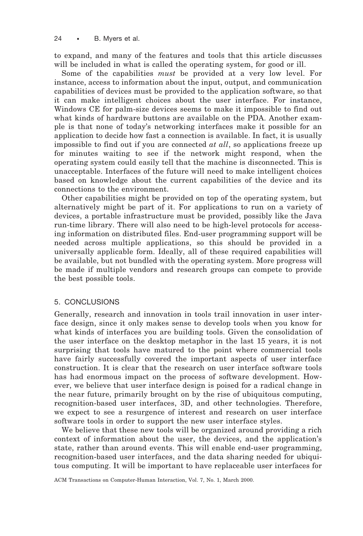to expand, and many of the features and tools that this article discusses will be included in what is called the operating system, for good or ill.

Some of the capabilities *must* be provided at a very low level. For instance, access to information about the input, output, and communication capabilities of devices must be provided to the application software, so that it can make intelligent choices about the user interface. For instance, Windows CE for palm-size devices seems to make it impossible to find out what kinds of hardware buttons are available on the PDA. Another example is that none of today's networking interfaces make it possible for an application to decide how fast a connection is available. In fact, it is usually impossible to find out if you are connected *at all*, so applications freeze up for minutes waiting to see if the network might respond, when the operating system could easily tell that the machine is disconnected. This is unacceptable. Interfaces of the future will need to make intelligent choices based on knowledge about the current capabilities of the device and its connections to the environment.

Other capabilities might be provided on top of the operating system, but alternatively might be part of it. For applications to run on a variety of devices, a portable infrastructure must be provided, possibly like the Java run-time library. There will also need to be high-level protocols for accessing information on distributed files. End-user programming support will be needed across multiple applications, so this should be provided in a universally applicable form. Ideally, all of these required capabilities will be available, but not bundled with the operating system. More progress will be made if multiple vendors and research groups can compete to provide the best possible tools.

#### 5. CONCLUSIONS

Generally, research and innovation in tools trail innovation in user interface design, since it only makes sense to develop tools when you know for what kinds of interfaces you are building tools. Given the consolidation of the user interface on the desktop metaphor in the last 15 years, it is not surprising that tools have matured to the point where commercial tools have fairly successfully covered the important aspects of user interface construction. It is clear that the research on user interface software tools has had enormous impact on the process of software development. However, we believe that user interface design is poised for a radical change in the near future, primarily brought on by the rise of ubiquitous computing, recognition-based user interfaces, 3D, and other technologies. Therefore, we expect to see a resurgence of interest and research on user interface software tools in order to support the new user interface styles.

We believe that these new tools will be organized around providing a rich context of information about the user, the devices, and the application's state, rather than around events. This will enable end-user programming, recognition-based user interfaces, and the data sharing needed for ubiquitous computing. It will be important to have replaceable user interfaces for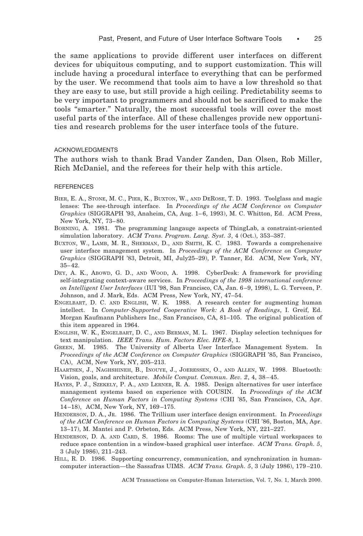the same applications to provide different user interfaces on different devices for ubiquitous computing, and to support customization. This will include having a procedural interface to everything that can be performed by the user. We recommend that tools aim to have a low threshold so that they are easy to use, but still provide a high ceiling. Predictability seems to be very important to programmers and should not be sacrificed to make the tools "smarter." Naturally, the most successful tools will cover the most useful parts of the interface. All of these challenges provide new opportunities and research problems for the user interface tools of the future.

#### ACKNOWLEDGMENTS

The authors wish to thank Brad Vander Zanden, Dan Olsen, Rob Miller, Rich McDaniel, and the referees for their help with this article.

#### **REFERENCES**

- BIER, E. A., STONE, M. C., PIER, K., BUXTON, W., AND DEROSE, T. D. 1993. Toolglass and magic lenses: The see-through interface. In *Proceedings of the ACM Conference on Computer Graphics* (SIGGRAPH '93, Anaheim, CA, Aug. 1–6, 1993), M. C. Whitton, Ed. ACM Press, New York, NY, 73–80.
- BORNING, A. 1981. The programming langauge aspects of ThingLab, a constraint-oriented simulation laboratory. *ACM Trans. Program. Lang. Syst. 3*, 4 (Oct.), 353–387.
- BUXTON, W., LAMB, M. R., SHERMAN, D., AND SMITH, K. C. 1983. Towards a comprehensive user interface management system. In *Proceedings of the ACM Conference on Computer Graphics* (SIGGRAPH '83, Detroit, MI, July25–29), P. Tanner, Ed. ACM, New York, NY, 35–42.
- DEY, A. K., ABOWD, G. D., AND WOOD, A. 1998. CyberDesk: A framework for providing self-integrating context-aware services. In *Proceedings of the 1998 international conference on Intelligent User Interfaces* (IUI '98, San Francisco, CA, Jan. 6–9, 1998), L. G. Terveen, P. Johnson, and J. Mark, Eds. ACM Press, New York, NY, 47–54.
- ENGELBART, D. C. AND ENGLISH, W. K. 1988. A research center for augmenting human intellect. In *Computer-Supported Cooperative Work: A Book of Readings*, I. Greif, Ed. Morgan Kaufmann Publishers Inc., San Francisco, CA, 81–105. The original publication of this item appeared in 1964.
- ENGLISH, W. K., ENGELBART, D. C., AND BERMAN, M. L. 1967. Display selection techniques for text manipulation. *IEEE Trans. Hum. Factors Elec. HFE-8*, 1.
- GREEN, M. 1985. The University of Alberta User Interface Management System. In *Proceedings of the ACM Conference on Computer Graphics* (SIGGRAPH '85, San Francisco, CA), ACM, New York, NY, 205–213.
- HAARTSEN, J., NAGHSHINEH, B., INOUYE, J., JOERESSEN, O., AND ALLEN, W. 1998. Bluetooth: Vision, goals, and architecture. *Mobile Comput. Commun. Rev. 2*, 4, 38–45.
- HAYES, P. J., SZEKELY, P. A., AND LERNER, R. A. 1985. Design alternatives for user interface management systems based on experience with COUSIN. In *Proceedings of the ACM Conference on Human Factors in Computing Systems* (CHI '85, San Francisco, CA, Apr. 14–18), ACM, New York, NY, 169–175.
- HENDERSON, D. A., JR. 1986. The Trillium user interface design environment. In *Proceedings of the ACM Conference on Human Factors in Computing Systems* (CHI '86, Boston, MA, Apr. 13–17), M. Mantei and P. Orbeton, Eds. ACM Press, New York, NY, 221–227.
- HENDERSON, D. A. AND CARD, S. 1986. Rooms: The use of multiple virtual workspaces to reduce space contention in a window-based graphical user interface. *ACM Trans. Graph. 5*, 3 (July 1986), 211–243.
- HILL, R. D. 1986. Supporting concurrency, communication, and synchronization in humancomputer interaction—the Sassafras UIMS. *ACM Trans. Graph. 5*, 3 (July 1986), 179–210.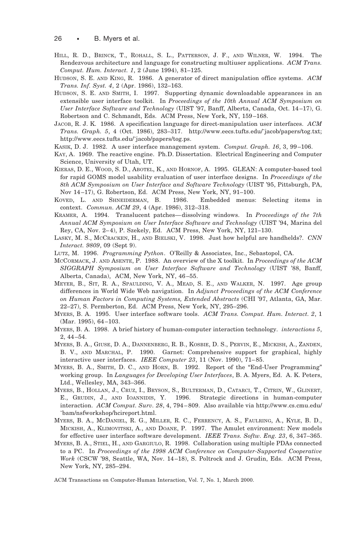- HILL, R. D., BRINCK, T., ROHALL, S. L., PATTERSON, J. F., AND WILNER, W. 1994. The Rendezvous architecture and language for constructing multiuser applications. *ACM Trans. Comput. Hum. Interact. 1*, 2 (June 1994), 81–125.
- HUDSON, S. E. AND KING, R. 1986. A generator of direct manipulation office systems. *ACM Trans. Inf. Syst. 4*, 2 (Apr. 1986), 132–163.
- HUDSON, S. E. AND SMITH, I. 1997. Supporting dynamic downloadable appearances in an extensible user interface toolkit. In *Proceedings of the 10th Annual ACM Symposium on User Interface Software and Technology* (UIST '97, Banff, Alberta, Canada, Oct. 14–17), G. Robertson and C. Schmandt, Eds. ACM Press, New York, NY, 159–168.
- JACOB, R. J. K. 1986. A specification language for direct-manipulation user interfaces. *ACM Trans. Graph. 5*, 4 (Oct. 1986), 283–317. http://www.eecs.tufts.edu/˜jacob/papers/tog.txt; http://www.eecs.tufts.edu/~jacob/papers/tog.ps.
- KASIK, D. J. 1982. A user interface management system. *Comput. Graph. 16*, 3, 99–106.
- KAY, A. 1969. The reactive engine. Ph.D. Dissertation. Electrical Engineering and Computer Science, University of Utah, UT.
- KIERAS, D. E., WOOD, S. D., ABOTEL, K., AND HORNOF, A. 1995. GLEAN: A computer-based tool for rapid GOMS model usability evaluation of user interface designs. In *Proceedings of the 8th ACM Symposium on User Interface and Software Technology* (UIST '95, Pittsburgh, PA, Nov 14–17), G. Robertson, Ed. ACM Press, New York, NY, 91–100.
- KOVED, L. AND SHNEIDERMAN, B. 1986. Embedded menus: Selecting items in context. *Commun. ACM 29*, 4 (Apr. 1986), 312–318.
- KRAMER, A. 1994. Translucent patches—dissolving windows. In *Proceedings of the 7th Annual ACM Symposium on User Interface Software and Technology* (UIST '94, Marina del Rey, CA, Nov. 2–4), P. Szekely, Ed. ACM Press, New York, NY, 121–130.
- LASKY, M. S., MCCRACKEN, H., AND BIELSKI, V. 1998. Just how helpful are handhelds?. *CNN Interact. 9809*, 09 (Sept 9).
- LUTZ, M. 1996. *Programming Python*. O'Reilly & Associates, Inc., Sebastopol, CA.
- MCCORMACK, J. AND ASENTE, P. 1988. An overview of the X toolkit. In *Proceedings of the ACM SIGGRAPH Symposium on User Interface Software and Technology* (UIST '88, Banff, Alberta, Canada), ACM, New York, NY, 46–55.
- MEYER, B., SIT, R. A., SPAULDING, V. A., MEAD, S. E., AND WALKER, N. 1997. Age group differences in World Wide Web navigation. In *Adjunct Proceedings of the ACM Conference on Human Factors in Computing Systems, Extended Abstracts* (CHI '97, Atlanta, GA, Mar. 22–27), S. Permberton, Ed. ACM Press, New York, NY, 295–296.
- MYERS, B. A. 1995. User interface software tools. *ACM Trans. Comput. Hum. Interact. 2*, 1 (Mar. 1995), 64–103.
- MYERS, B. A. 1998. A brief history of human-computer interaction technology. *interactions 5*, 2, 44–54.
- MYERS, B. A., GIUSE, D. A., DANNENBERG, R. B., KOSBIE, D. S., PERVIN, E., MICKISH, A., ZANDEN, B. V., AND MARCHAL, P. 1990. Garnet: Comprehensive support for graphical, highly interactive user interfaces. *IEEE Computer 23*, 11 (Nov. 1990), 71–85.
- MYERS, B. A., SMITH, D. C., AND HORN, B. 1992. Report of the "End-User Programming" working group. In *Languages for Developing User Interfaces*, B. A. Myers, Ed. A. K. Peters, Ltd., Wellesley, MA, 343–366.
- MYERS, B., HOLLAN, J., CRUZ, I., BRYSON, S., BULTERMAN, D., CATARCI, T., CITRIN, W., GLINERT, E., GRUDIN, J., AND IOANNIDIS, Y. 1996. Strategic directions in human-computer interaction. *ACM Comput. Surv. 28*, 4, 794–809. Also available via http://www.cs.cmu.edu/ ˜bam/nsfworkshop/hcireport.html.
- MYERS, B. A., MCDANIEL, R. G., MILLER, R. C., FERRENCY, A. S., FAULRING, A., KYLE, B. D., MICKISH, A., KLIMOVITSKI, A., AND DOANE, P. 1997. The Amulet environment: New models for effective user interface software development. *IEEE Trans. Softw. Eng. 23*, 6, 347–365.
- MYERS, B. A., STIEL, H., AND GARGIULO, R. 1998. Collaboration using multiple PDAs connected to a PC. In *Proceedings of the 1998 ACM Conference on Computer-Supported Cooperative Work* (CSCW '98, Seattle, WA, Nov. 14–18), S. Poltrock and J. Grudin, Eds. ACM Press, New York, NY, 285–294.

<sup>26</sup> • B. Myers et al.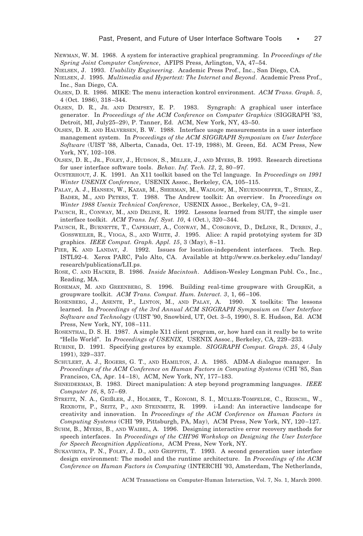- NEWMAN, W. M. 1968. A system for interactive graphical programming. In *Proceedings of the Spring Joint Computer Conference*, AFIPS Press, Arlington, VA, 47–54.
- NIELSEN, J. 1993. *Usability Engineering*. Academic Press Prof., Inc., San Diego, CA.
- NIELSEN, J. 1995. *Multimedia and Hypertext: The Internet and Beyond*. Academic Press Prof., Inc., San Diego, CA.
- OLSEN, D. R. 1986. MIKE: The menu interaction kontrol environment. *ACM Trans. Graph. 5*, 4 (Oct. 1986), 318–344.
- OLSEN, D. R., JR. AND DEMPSEY, E. P. 1983. Syngraph: A graphical user interface generator. In *Proceedings of the ACM Conference on Computer Graphics* (SIGGRAPH '83, Detroit, MI, July25–29), P. Tanner, Ed. ACM, New York, NY, 43–50.
- OLSEN, D. R. AND HALVERSEN, B. W. 1988. Interface usage measurements in a user interface management system. In *Proceedings of the ACM SIGGRAPH Symposium on User Interface Software* (UIST '88, Alberta, Canada, Oct. 17-19, 1988), M. Green, Ed. ACM Press, New York, NY, 102–108.
- OLSEN, D. R., JR., FOLEY, J., HUDSON, S., MILLER, J., AND MYERS, B. 1993. Research directions for user interface software tools. *Behav. Inf. Tech. 12*, 2, 80–97.
- OUSTERHOUT, J. K. 1991. An X11 toolkit based on the Tcl language. In *Proceedings on 1991 Winter USENIX Conference*, USENIX Assoc., Berkeley, CA, 105–115.
- PALAY, A. J., HANSEN, W., KAZAR, M., SHERMAN, M., WADLOW, M., NEUENDORFFER, T., STERN, Z., BADER, M., AND PETERS, T. 1988. The Andrew toolkit: An overview. In *Proceedings on Winter 1988 Usenix Technical Conference*, USENIX Assoc., Berkeley, CA, 9–21.
- PAUSCH, R., CONWAY, M., AND DELINE, R. 1992. Lessons learned from SUIT, the simple user interface toolkit. *ACM Trans. Inf. Syst. 10*, 4 (Oct.), 320–344.
- PAUSCH, R., BURNETTE, T., CAPEHART, A., CONWAY, M., COSGROVE, D., DELINE, R., DURBIN, J., GOSSWEILER, R., VIOGA, S., AND WHITE, J. 1995. Alice: A rapid prototying system for 3D graphics. *IEEE Comput. Graph. Appl. 15*, 3 (May), 8–11.
- PIER, K. AND LANDAY, J. 1992. Issues for location-independent interfaces. Tech. Rep. ISTL92-4. Xerox PARC, Palo Alto, CA. Available at http://www.cs.berkeley.edu/˜landay/ research/publications/LII.ps.
- ROSE, C. AND HACKER, B. 1986. *Inside Macintosh*. Addison-Wesley Longman Publ. Co., Inc., Reading, MA.
- ROSEMAN, M. AND GREENBERG, S. 1996. Building real-time groupware with GroupKit, a groupware toolkit. *ACM Trans. Comput. Hum. Interact. 3*, 1, 66–106.
- ROSENBERG, J., ASENTE, P., LINTON, M., AND PALAY, A. 1990. X toolkits: The lessons learned. In *Proceedings of the 3rd Annual ACM SIGGRAPH Symposium on User Interface Software and Technology* (UIST '90, Snowbird, UT, Oct. 3–5, 1990), S. E. Hudson, Ed. ACM Press, New York, NY, 108–111.
- ROSENTHAL, D. S. H. 1987. A simple X11 client program, or, how hard can it really be to write "Hello World". In *Proceedings of USENIX*, USENIX Assoc., Berkeley, CA, 229–233.
- RUBINE, D. 1991. Specifying gestures by example. *SIGGRAPH Comput. Graph. 25*, 4 (July 1991), 329–337.
- SCHULERT, A. J., ROGERS, G. T., AND HAMILTON, J. A. 1985. ADM-A dialogue manager. In *Proceedings of the ACM Conference on Human Factors in Computing Systems* (CHI '85, San Francisco, CA, Apr. 14–18), ACM, New York, NY, 177–183.
- SHNEIDERMAN, B. 1983. Direct manipulation: A step beyond programming languages. *IEEE Computer 16*, 8, 57–69.
- STREITZ, N. A., GEIßLER, J., HOLMER, T., KONOMI, S. I., MÜLLER-TOMFELDE, C., REISCHL, W., REXROTH, P., SEITZ, P., AND STEINMETZ, R. 1999. i-Land: An interactive landscape for creativity and innovation. In *Proceedings of the ACM Conference on Human Factors in Computing Systems* (CHI '99, Pittsburgh, PA, May), ACM Press, New York, NY, 120–127.
- SUHM, B., MYERS, B., AND WAIBEL, A. 1996. Designing interactive error recovery methods for speech interfaces. In *Proceedings of the CHI'96 Workshop on Designing the User Interface for Speech Recognition Applications*, ACM Press, New York, NY.
- SUKAVIRIYA, P. N., FOLEY, J. D., AND GRIFFITH, T. 1993. A second generation user interface design environment: The model and the runtime architecture. In *Proceedings of the ACM Conference on Human Factors in Computing* (INTERCHI '93, Amsterdam, The Netherlands,